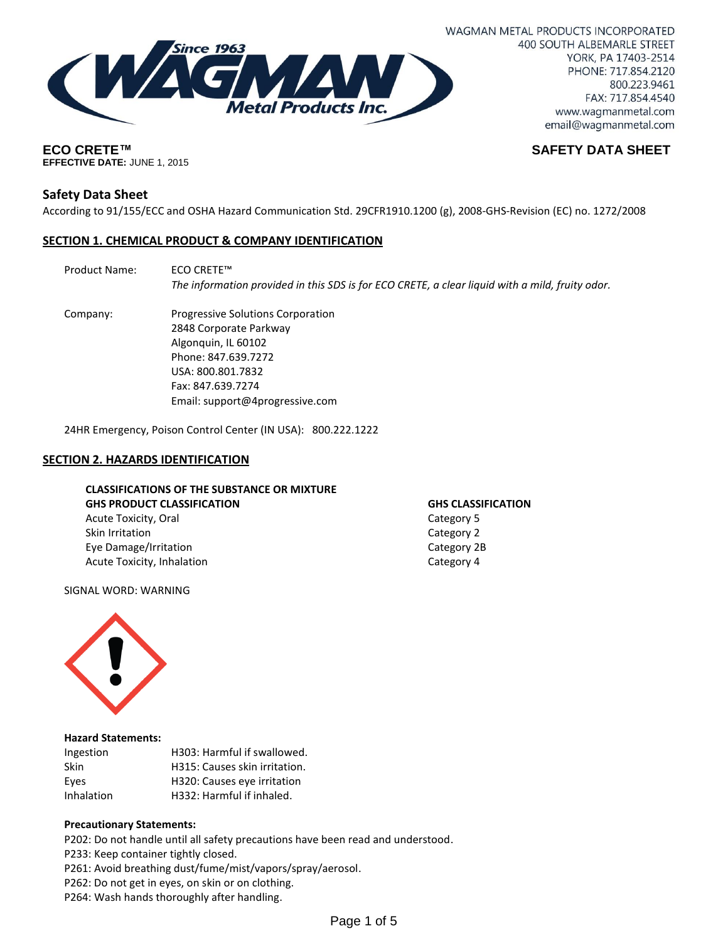

# **EFFECTIVE DATE:** JUNE 1, 2015

## **ECO CRETE™ SAFETY DATA SHEET**

### **Safety Data Sheet**

According to 91/155/ECC and OSHA Hazard Communication Std. 29CFR1910.1200 (g), 2008-GHS-Revision (EC) no. 1272/2008

#### **SECTION 1. CHEMICAL PRODUCT & COMPANY IDENTIFICATION**

- Product Name: ECO CRETE™ *The information provided in this SDS is for ECO CRETE, a clear liquid with a mild, fruity odor.*
- Company: Progressive Solutions Corporation 2848 Corporate Parkway Algonquin, IL 60102 Phone: 847.639.7272 USA: 800.801.7832 Fax: 847.639.7274 Email: support@4progressive.com

24HR Emergency, Poison Control Center (IN USA): 800.222.1222

#### **SECTION 2. HAZARDS IDENTIFICATION**

## **CLASSIFICATIONS OF THE SUBSTANCE OR MIXTURE**

**GHS PRODUCT CLASSIFICATION GHS CLASSIFICATION** Acute Toxicity, Oral **Category 5** and Category 5 Skin Irritation **Category 2** and Category 2 Eye Damage/Irritation **Category 2B** Acute Toxicity, Inhalation Category 4

SIGNAL WORD: WARNING



#### **Hazard Statements:**

| Ingestion   | H303: Harmful if swallowed.   |
|-------------|-------------------------------|
| <b>Skin</b> | H315: Causes skin irritation. |
| Eyes        | H320: Causes eye irritation   |
| Inhalation  | H332: Harmful if inhaled.     |

#### **Precautionary Statements:**

P202: Do not handle until all safety precautions have been read and understood.

- P233: Keep container tightly closed.
- P261: Avoid breathing dust/fume/mist/vapors/spray/aerosol.
- P262: Do not get in eyes, on skin or on clothing.
- P264: Wash hands thoroughly after handling.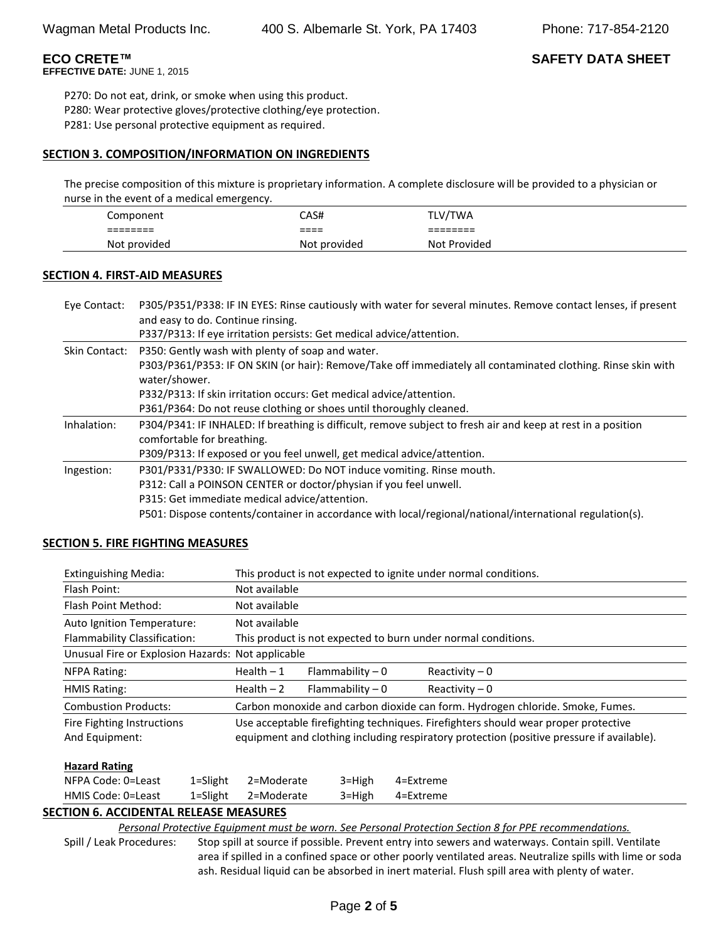# **ECO CRETE™ SAFETY DATA SHEET**

**EFFECTIVE DATE:** JUNE 1, 2015

P270: Do not eat, drink, or smoke when using this product.

P280: Wear protective gloves/protective clothing/eye protection.

P281: Use personal protective equipment as required.

#### **SECTION 3. COMPOSITION/INFORMATION ON INGREDIENTS**

The precise composition of this mixture is proprietary information. A complete disclosure will be provided to a physician or nurse in the event of a medical emergency.

| Component              | CAS#         | .V/TWA<br>. L'       |
|------------------------|--------------|----------------------|
| ---------<br>--------- | ----<br>---- | --------<br>-------- |
| Not provided           | Not provided | Not Provided         |

#### **SECTION 4. FIRST-AID MEASURES**

| Eye Contact:  | P305/P351/P338: IF IN EYES: Rinse cautiously with water for several minutes. Remove contact lenses, if present<br>and easy to do. Continue rinsing. |
|---------------|-----------------------------------------------------------------------------------------------------------------------------------------------------|
|               | P337/P313: If eye irritation persists: Get medical advice/attention.                                                                                |
| Skin Contact: | P350: Gently wash with plenty of soap and water.                                                                                                    |
|               | P303/P361/P353: IF ON SKIN (or hair): Remove/Take off immediately all contaminated clothing. Rinse skin with                                        |
|               | water/shower.                                                                                                                                       |
|               | P332/P313: If skin irritation occurs: Get medical advice/attention.                                                                                 |
|               | P361/P364: Do not reuse clothing or shoes until thoroughly cleaned.                                                                                 |
| Inhalation:   | P304/P341: IF INHALED: If breathing is difficult, remove subject to fresh air and keep at rest in a position                                        |
|               | comfortable for breathing.                                                                                                                          |
|               | P309/P313: If exposed or you feel unwell, get medical advice/attention.                                                                             |
| Ingestion:    | P301/P331/P330: IF SWALLOWED: Do NOT induce vomiting. Rinse mouth.                                                                                  |
|               | P312: Call a POINSON CENTER or doctor/physian if you feel unwell.                                                                                   |
|               | P315: Get immediate medical advice/attention.                                                                                                       |
|               | P501: Dispose contents/container in accordance with local/regional/national/international regulation(s).                                            |
|               |                                                                                                                                                     |

#### **SECTION 5. FIRE FIGHTING MEASURES**

| <b>Extinguishing Media:</b>                       |              | This product is not expected to ignite under normal conditions.                           |                   |           |                                                               |  |
|---------------------------------------------------|--------------|-------------------------------------------------------------------------------------------|-------------------|-----------|---------------------------------------------------------------|--|
| Flash Point:                                      |              | Not available                                                                             |                   |           |                                                               |  |
| Flash Point Method:                               |              | Not available                                                                             |                   |           |                                                               |  |
| Auto Ignition Temperature:                        |              | Not available                                                                             |                   |           |                                                               |  |
| Flammability Classification:                      |              |                                                                                           |                   |           | This product is not expected to burn under normal conditions. |  |
| Unusual Fire or Explosion Hazards: Not applicable |              |                                                                                           |                   |           |                                                               |  |
| <b>NFPA Rating:</b>                               |              | Health $-1$                                                                               | Flammability $-0$ |           | Reactivity $-0$                                               |  |
| <b>HMIS Rating:</b>                               |              | Health $-2$                                                                               | Flammability $-0$ |           | Reactivity $-0$                                               |  |
| <b>Combustion Products:</b>                       |              | Carbon monoxide and carbon dioxide can form. Hydrogen chloride. Smoke, Fumes.             |                   |           |                                                               |  |
| Fire Fighting Instructions                        |              | Use acceptable firefighting techniques. Firefighters should wear proper protective        |                   |           |                                                               |  |
| And Equipment:                                    |              | equipment and clothing including respiratory protection (positive pressure if available). |                   |           |                                                               |  |
| <b>Hazard Rating</b>                              |              |                                                                                           |                   |           |                                                               |  |
| NFPA Code: 0=Least                                | $1 =$ Slight | 2=Moderate                                                                                | $3 =$ High        | 4=Extreme |                                                               |  |
| HMIS Code: 0=Least                                | $1 =$ Slight | 2=Moderate<br>$3 =$ High<br>4=Extreme                                                     |                   |           |                                                               |  |
| <b>SECTION 6. ACCIDENTAL RELEASE MEASURES</b>     |              |                                                                                           |                   |           |                                                               |  |
|                                                   |              |                                                                                           |                   |           |                                                               |  |

*Personal Protective Equipment must be worn. See Personal Protection Section 8 for PPE recommendations.*<br>Spill / Leak Procedures: Stop spill at source if possible. Prevent entry into sewers and waterways. Contain spill. Ve Stop spill at source if possible. Prevent entry into sewers and waterways. Contain spill. Ventilate area if spilled in a confined space or other poorly ventilated areas. Neutralize spills with lime or soda ash. Residual liquid can be absorbed in inert material. Flush spill area with plenty of water.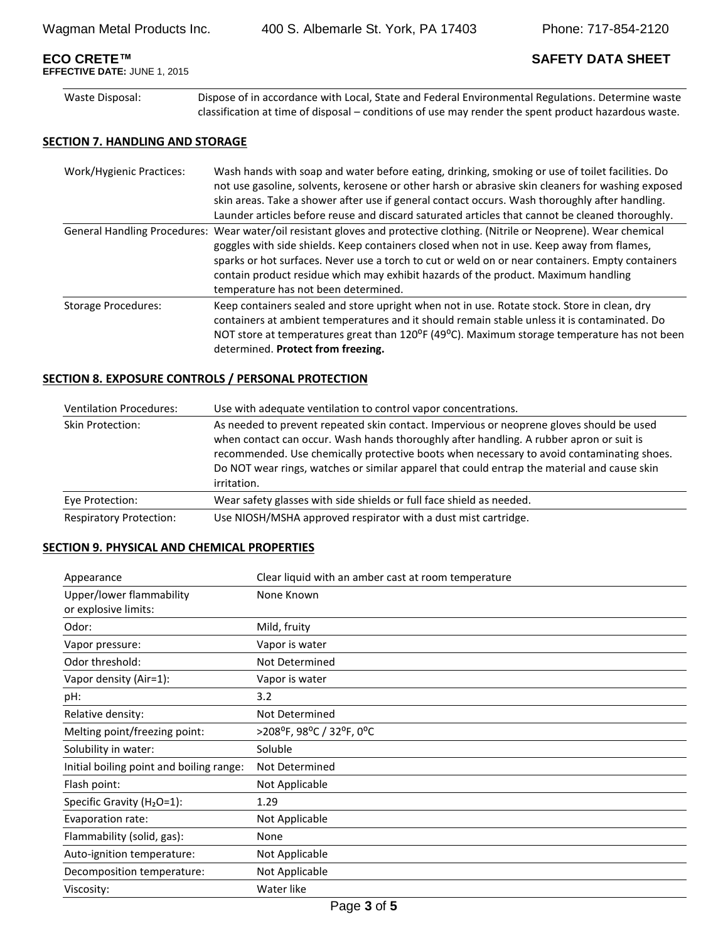**EFFECTIVE DATE:** JUNE 1, 2015

**ECO CRETE™ SAFETY DATA SHEET**

Waste Disposal: Dispose of in accordance with Local, State and Federal Environmental Regulations. Determine waste classification at time of disposal – conditions of use may render the spent product hazardous waste.

#### **SECTION 7. HANDLING AND STORAGE**

| Work/Hygienic Practices:   | Wash hands with soap and water before eating, drinking, smoking or use of toilet facilities. Do<br>not use gasoline, solvents, kerosene or other harsh or abrasive skin cleaners for washing exposed<br>skin areas. Take a shower after use if general contact occurs. Wash thoroughly after handling.<br>Launder articles before reuse and discard saturated articles that cannot be cleaned thoroughly.                                                 |
|----------------------------|-----------------------------------------------------------------------------------------------------------------------------------------------------------------------------------------------------------------------------------------------------------------------------------------------------------------------------------------------------------------------------------------------------------------------------------------------------------|
|                            | General Handling Procedures: Wear water/oil resistant gloves and protective clothing. (Nitrile or Neoprene). Wear chemical<br>goggles with side shields. Keep containers closed when not in use. Keep away from flames,<br>sparks or hot surfaces. Never use a torch to cut or weld on or near containers. Empty containers<br>contain product residue which may exhibit hazards of the product. Maximum handling<br>temperature has not been determined. |
| <b>Storage Procedures:</b> | Keep containers sealed and store upright when not in use. Rotate stock. Store in clean, dry<br>containers at ambient temperatures and it should remain stable unless it is contaminated. Do<br>NOT store at temperatures great than 120°F (49°C). Maximum storage temperature has not been<br>determined. Protect from freezing.                                                                                                                          |

#### **SECTION 8. EXPOSURE CONTROLS / PERSONAL PROTECTION**

| <b>Ventilation Procedures:</b> | Use with adequate ventilation to control vapor concentrations.                                                                                                                                                                                                                                                                                                                                 |
|--------------------------------|------------------------------------------------------------------------------------------------------------------------------------------------------------------------------------------------------------------------------------------------------------------------------------------------------------------------------------------------------------------------------------------------|
| Skin Protection:               | As needed to prevent repeated skin contact. Impervious or neoprene gloves should be used<br>when contact can occur. Wash hands thoroughly after handling. A rubber apron or suit is<br>recommended. Use chemically protective boots when necessary to avoid contaminating shoes.<br>Do NOT wear rings, watches or similar apparel that could entrap the material and cause skin<br>irritation. |
| Eye Protection:                | Wear safety glasses with side shields or full face shield as needed.                                                                                                                                                                                                                                                                                                                           |
| <b>Respiratory Protection:</b> | Use NIOSH/MSHA approved respirator with a dust mist cartridge.                                                                                                                                                                                                                                                                                                                                 |

#### **SECTION 9. PHYSICAL AND CHEMICAL PROPERTIES**

| Appearance                                       | Clear liquid with an amber cast at room temperature |
|--------------------------------------------------|-----------------------------------------------------|
| Upper/lower flammability<br>or explosive limits: | None Known                                          |
| Odor:                                            | Mild, fruity                                        |
| Vapor pressure:                                  | Vapor is water                                      |
| Odor threshold:                                  | Not Determined                                      |
| Vapor density (Air=1):                           | Vapor is water                                      |
| pH:                                              | 3.2                                                 |
| Relative density:                                | Not Determined                                      |
| Melting point/freezing point:                    | >208°F, 98°C / 32°F, 0°C                            |
| Solubility in water:                             | Soluble                                             |
| Initial boiling point and boiling range:         | Not Determined                                      |
| Flash point:                                     | Not Applicable                                      |
| Specific Gravity (H <sub>2</sub> O=1):           | 1.29                                                |
| Evaporation rate:                                | Not Applicable                                      |
| Flammability (solid, gas):                       | None                                                |
| Auto-ignition temperature:                       | Not Applicable                                      |
| Decomposition temperature:                       | Not Applicable                                      |
| Viscosity:                                       | Water like                                          |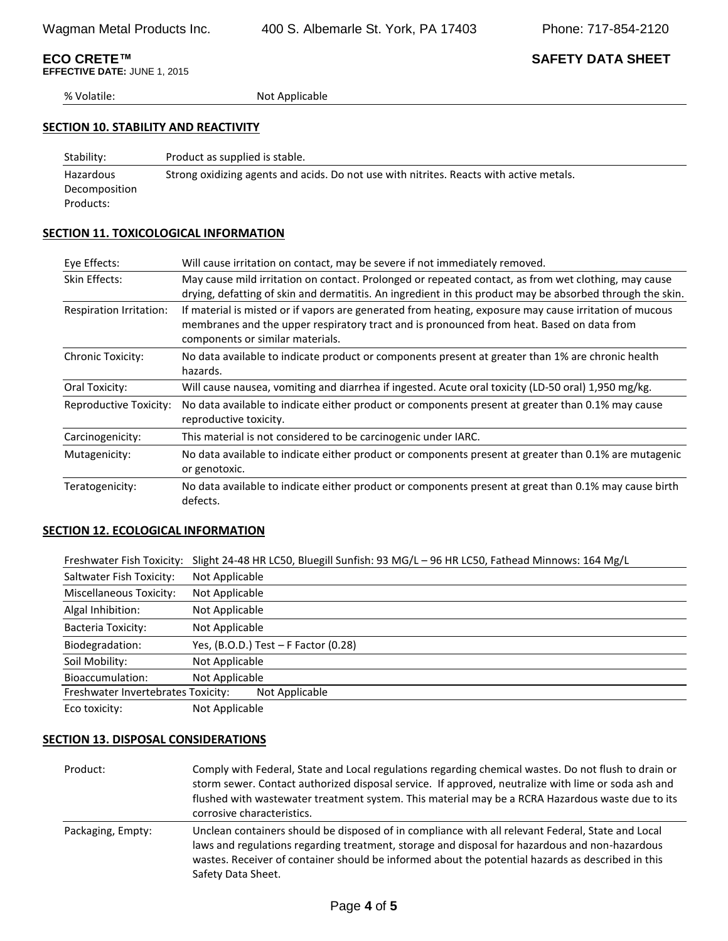# **ECO CRETE™ SAFETY DATA SHEET**

**EFFECTIVE DATE:** JUNE 1, 2015

% Volatile: Not Applicable

### **SECTION 10. STABILITY AND REACTIVITY**

| Stability:    | Product as supplied is stable.                                                          |
|---------------|-----------------------------------------------------------------------------------------|
| Hazardous     | Strong oxidizing agents and acids. Do not use with nitrites. Reacts with active metals. |
| Decomposition |                                                                                         |
| Products:     |                                                                                         |

#### **SECTION 11. TOXICOLOGICAL INFORMATION**

| Eye Effects:             | Will cause irritation on contact, may be severe if not immediately removed.                                                                                                                                                             |  |
|--------------------------|-----------------------------------------------------------------------------------------------------------------------------------------------------------------------------------------------------------------------------------------|--|
| Skin Effects:            | May cause mild irritation on contact. Prolonged or repeated contact, as from wet clothing, may cause<br>drying, defatting of skin and dermatitis. An ingredient in this product may be absorbed through the skin.                       |  |
| Respiration Irritation:  | If material is misted or if vapors are generated from heating, exposure may cause irritation of mucous<br>membranes and the upper respiratory tract and is pronounced from heat. Based on data from<br>components or similar materials. |  |
| <b>Chronic Toxicity:</b> | No data available to indicate product or components present at greater than 1% are chronic health<br>hazards.                                                                                                                           |  |
| Oral Toxicity:           | Will cause nausea, vomiting and diarrhea if ingested. Acute oral toxicity (LD-50 oral) 1,950 mg/kg.                                                                                                                                     |  |
| Reproductive Toxicity:   | No data available to indicate either product or components present at greater than 0.1% may cause<br>reproductive toxicity.                                                                                                             |  |
| Carcinogenicity:         | This material is not considered to be carcinogenic under IARC.                                                                                                                                                                          |  |
| Mutagenicity:            | No data available to indicate either product or components present at greater than 0.1% are mutagenic<br>or genotoxic.                                                                                                                  |  |
| Teratogenicity:          | No data available to indicate either product or components present at great than 0.1% may cause birth<br>defects.                                                                                                                       |  |

#### **SECTION 12. ECOLOGICAL INFORMATION**

Freshwater Fish Toxicity: Slight 24-48 HR LC50, Bluegill Sunfish: 93 MG/L – 96 HR LC50, Fathead Minnows: 164 Mg/L

| Saltwater Fish Toxicity:           | Not Applicable                       |
|------------------------------------|--------------------------------------|
| <b>Miscellaneous Toxicity:</b>     | Not Applicable                       |
| Algal Inhibition:                  | Not Applicable                       |
| <b>Bacteria Toxicity:</b>          | Not Applicable                       |
| Biodegradation:                    | Yes, (B.O.D.) Test - F Factor (0.28) |
| Soil Mobility:                     | Not Applicable                       |
| Bioaccumulation:                   | Not Applicable                       |
| Freshwater Invertebrates Toxicity: | Not Applicable                       |
| Eco toxicity:                      | Not Applicable                       |

#### **SECTION 13. DISPOSAL CONSIDERATIONS**

| Product:          | Comply with Federal, State and Local regulations regarding chemical wastes. Do not flush to drain or<br>storm sewer. Contact authorized disposal service. If approved, neutralize with lime or soda ash and<br>flushed with wastewater treatment system. This material may be a RCRA Hazardous waste due to its<br>corrosive characteristics. |
|-------------------|-----------------------------------------------------------------------------------------------------------------------------------------------------------------------------------------------------------------------------------------------------------------------------------------------------------------------------------------------|
| Packaging, Empty: | Unclean containers should be disposed of in compliance with all relevant Federal, State and Local<br>laws and regulations regarding treatment, storage and disposal for hazardous and non-hazardous<br>wastes. Receiver of container should be informed about the potential hazards as described in this<br>Safety Data Sheet.                |